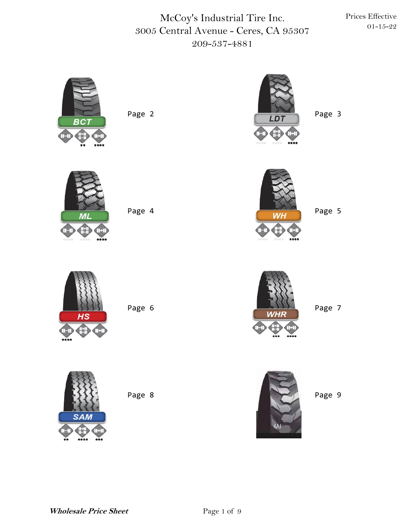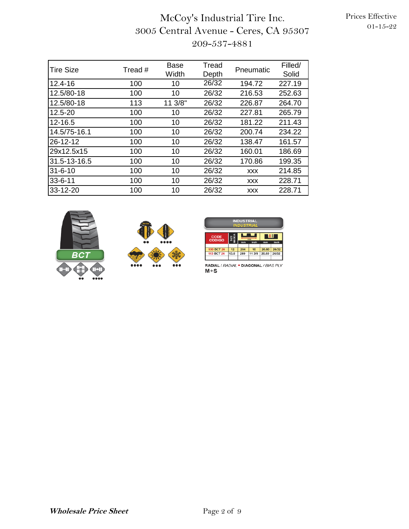## McCoy's Industrial Tire Inc. 3005 Central Avenue - Ceres, CA 95307 209-537-4881

| <b>Tire Size</b> | Tread # | <b>Base</b><br>Width | Tread<br>Depth | Pneumatic  | Filled/<br>Solid |
|------------------|---------|----------------------|----------------|------------|------------------|
| 12.4-16          | 100     | 10                   | 26/32          | 194.72     | 227.19           |
| 12.5/80-18       | 100     | 10                   | 26/32          | 216.53     | 252.63           |
| 12.5/80-18       | 113     | 11 3/8"              | 26/32          | 226.87     | 264.70           |
| 12.5-20          | 100     | 10                   | 26/32          | 227.81     | 265.79           |
| 12-16.5          | 100     | 10                   | 26/32          | 181.22     | 211.43           |
| 14.5/75-16.1     | 100     | 10                   | 26/32          | 200.74     | 234.22           |
| 26-12-12         | 100     | 10                   | 26/32          | 138.47     | 161.57           |
| 29x12.5x15       | 100     | 10                   | 26/32          | 160.01     | 186.69           |
| 31.5-13-16.5     | 100     | 10                   | 26/32          | 170.86     | 199.35           |
| $31 - 6 - 10$    | 100     | 10                   | 26/32          | <b>XXX</b> | 214.85           |
| $33 - 6 - 11$    | 100     | 10                   | 26/32          | <b>XXX</b> | 228.71           |
| 33-12-20         | 100     | 10                   | 26/32          | <b>XXX</b> | 228.71           |







RADIAL/*RADIAL* • DIAGONAL/*BIAS PLY*<br>M+S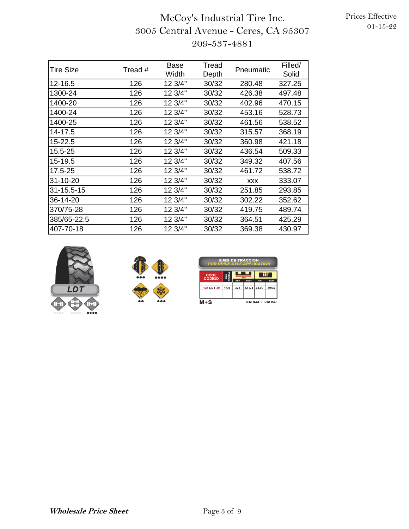| <b>Tire Size</b> | Tread # | <b>Base</b> | Tread | Pneumatic  | Filled/ |
|------------------|---------|-------------|-------|------------|---------|
|                  |         | Width       | Depth |            | Solid   |
| 12-16.5          | 126     | 12 3/4"     | 30/32 | 280.48     | 327.25  |
| 1300-24          | 126     | 12 3/4"     | 30/32 | 426.38     | 497.48  |
| 1400-20          | 126     | 12 3/4"     | 30/32 | 402.96     | 470.15  |
| 1400-24          | 126     | 12 3/4"     | 30/32 | 453.16     | 528.73  |
| 1400-25          | 126     | 12 3/4"     | 30/32 | 461.56     | 538.52  |
| 14-17.5          | 126     | 12 3/4"     | 30/32 | 315.57     | 368.19  |
| 15-22.5          | 126     | 12 3/4"     | 30/32 | 360.98     | 421.18  |
| 15.5-25          | 126     | 12 3/4"     | 30/32 | 436.54     | 509.33  |
| 15-19.5          | 126     | 12 3/4"     | 30/32 | 349.32     | 407.56  |
| 17.5-25          | 126     | 12 3/4"     | 30/32 | 461.72     | 538.72  |
| 31-10-20         | 126     | 12 3/4"     | 30/32 | <b>XXX</b> | 333.07  |
| 31-15.5-15       | 126     | 12 3/4"     | 30/32 | 251.85     | 293.85  |
| 36-14-20         | 126     | 12 3/4"     | 30/32 | 302.22     | 352.62  |
| 370/75-28        | 126     | 12 3/4"     | 30/32 | 419.75     | 489.74  |
| 385/65-22.5      | 126     | 12 3/4"     | 30/32 | 364.51     | 425.29  |
| 407-70-18        | 126     | 12 3/4"     | 30/32 | 369.38     | 430.97  |





| <b>EJES DE TRACCION</b><br><b>FOR DRIVE AXLE APPLICATION</b> |      |                                        |        |       |       |  |  |  |  |
|--------------------------------------------------------------|------|----------------------------------------|--------|-------|-------|--|--|--|--|
| <b>CODE</b><br><b>CODIGO</b>                                 | Î    | II E<br>mm<br>inch<br>inch<br>mm<br>mm |        |       |       |  |  |  |  |
| <b>126 LDT 30</b>                                            | 14.6 | 324                                    | 12 3/4 | 24.00 | 30/32 |  |  |  |  |
| $M+S$<br>RADIAL / RADIAL                                     |      |                                        |        |       |       |  |  |  |  |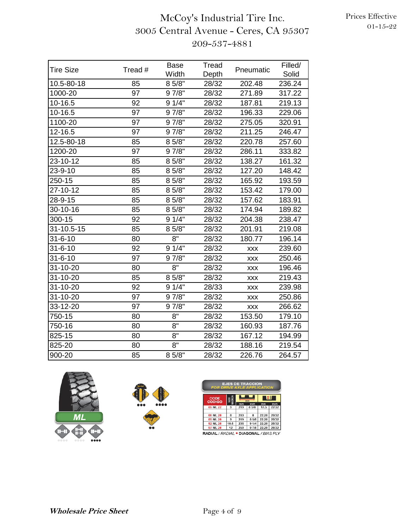| <b>Tire Size</b> | Tread # | <b>Base</b><br>Width | Tread<br>Depth | Pneumatic  | Filled/<br>Solid |
|------------------|---------|----------------------|----------------|------------|------------------|
| 10.5-80-18       | 85      | 8 5/8"               | 28/32          | 202.48     | 236.24           |
| 1000-20          | 97      | 9 7/8"               | 28/32          | 271.89     | 317.22           |
| 10-16.5          | 92      | 91/4"                | 28/32          | 187.81     | 219.13           |
| 10-16.5          | 97      | 9 7/8"               | 28/32          | 196.33     | 229.06           |
| 1100-20          | 97      | 9 7/8"               | 28/32          | 275.05     | 320.91           |
| 12-16.5          | 97      | 9 7/8"               | 28/32          | 211.25     | 246.47           |
| 12.5-80-18       | 85      | 8 5/8"               | 28/32          | 220.78     | 257.60           |
| 1200-20          | 97      | 9 7/8"               | 28/32          | 286.11     | 333.82           |
| 23-10-12         | 85      | 8 5/8"               | 28/32          | 138.27     | 161.32           |
| 23-9-10          | 85      | 8 5/8"               | 28/32          | 127.20     | 148.42           |
| 250-15           | 85      | 8 5/8"               | 28/32          | 165.92     | 193.59           |
| 27-10-12         | 85      | 8 5/8"               | 28/32          | 153.42     | 179.00           |
| 28-9-15          | 85      | 8 5/8"               | 28/32          | 157.62     | 183.91           |
| 30-10-16         | 85      | 8 5/8"               | 28/32          | 174.94     | 189.82           |
| 300-15           | 92      | 91/4"                | 28/32          | 204.38     | 238.47           |
| 31-10.5-15       | 85      | 8 5/8"               | 28/32          | 201.91     | 219.08           |
| $31 - 6 - 10$    | 80      | $8^{\circ}$          | 28/32          | 180.77     | 196.14           |
| $31 - 6 - 10$    | 92      | 91/4"                | 28/32          | XXX        | 239.60           |
| $31 - 6 - 10$    | 97      | 9 7/8"               | 28/32          | XXX        | 250.46           |
| 31-10-20         | 80      | 8"                   | 28/32          | XXX        | 196.46           |
| 31-10-20         | 85      | 8 5/8"               | 28/32          | <b>XXX</b> | 219.43           |
| 31-10-20         | 92      | 91/4"                | 28/33          | <b>XXX</b> | 239.98           |
| 31-10-20         | 97      | 9 7/8"               | 28/32          | XXX        | 250.86           |
| 33-12-20         | 97      | 9 7/8"               | 28/32          | XXX        | 266.62           |
| 750-15           | 80      | $8^{\circ}$          | 28/32          | 153.50     | 179.10           |
| 750-16           | 80      | 8"                   | 28/32          | 160.93     | 187.76           |
| 825-15           | 80      | 8"                   | 28/32          | 167.12     | 194.99           |
| 825-20           | 80      | 8"                   | 28/32          | 188.16     | 219.54           |
| 900-20           | 85      | 8 5/8"               | 28/32          | 226.76     | 264.57           |





| <b>EJES DE TRACCION</b><br><b>FOR DRIVE AXLE APPLICATION</b> |      |           |               |            |               |  |  |  |  |
|--------------------------------------------------------------|------|-----------|---------------|------------|---------------|--|--|--|--|
| I‡EI<br>MEDID<br><b>CODE</b><br>SIZIE<br>mm<br><b>CODIGO</b> |      |           |               |            |               |  |  |  |  |
| 85 ML 22                                                     | 9    | mm<br>219 | inch<br>8 5/8 | mm<br>17.5 | inch<br>22/32 |  |  |  |  |
|                                                              |      |           |               |            |               |  |  |  |  |
| 80 ML 28                                                     | 8    | 203       | R             | 22.20      | 28/32         |  |  |  |  |
| 85 ML 28                                                     | 9    | 219       | 8 5/8         | 22.20      | 28/32         |  |  |  |  |
| 92 MI 28                                                     | 10.5 | 235       | 91/4          | 22.20      | 28/32         |  |  |  |  |
| 97 ML 28                                                     | 12   | 250       | 9 7/8         | 22.20      | 28/32         |  |  |  |  |
| <b>RADIAL / RADIAL • DIAGONAL / BIAS PLY</b>                 |      |           |               |            |               |  |  |  |  |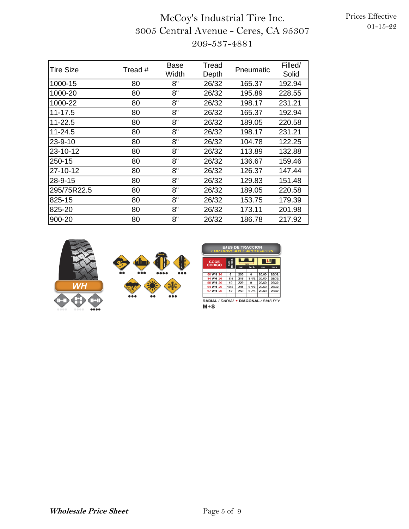# McCoy's Industrial Tire Inc. 3005 Central Avenue - Ceres, CA 95307 209-537-4881

| Tire Size   | Tread # | Base<br>Width | Tread<br>Depth | Pneumatic | Filled/<br>Solid |
|-------------|---------|---------------|----------------|-----------|------------------|
| 1000-15     | 80      | 8"            | 26/32          | 165.37    | 192.94           |
| 1000-20     | 80      | 8"            | 26/32          | 195.89    | 228.55           |
| 1000-22     | 80      | 8"            | 26/32          | 198.17    | 231.21           |
| $11 - 17.5$ | 80      | 8"            | 26/32          | 165.37    | 192.94           |
| 11-22.5     | 80      | 8"            | 26/32          | 189.05    | 220.58           |
| 11-24.5     | 80      | 8"            | 26/32          | 198.17    | 231.21           |
| 23-9-10     | 80      | 8"            | 26/32          | 104.78    | 122.25           |
| 23-10-12    | 80      | 8"            | 26/32          | 113.89    | 132.88           |
| 250-15      | 80      | 8"            | 26/32          | 136.67    | 159.46           |
| 27-10-12    | 80      | 8"            | 26/32          | 126.37    | 147.44           |
| 28-9-15     | 80      | 8"            | 26/32          | 129.83    | 151.48           |
| 295/75R22.5 | 80      | 8"            | 26/32          | 189.05    | 220.58           |
| 825-15      | 80      | 8"            | 26/32          | 153.75    | 179.39           |
| 825-20      | 80      | 8"            | 26/32          | 173.11    | 201.98           |
| 900-20      | 80      | 8"            | 26/32          | 186.78    | 217.92           |



| <b>EJES DE TRACCION</b><br><b>FOR DRIVE AXLE APPLICATION</b> |                    |     |              |       |            |  |  |  |  |
|--------------------------------------------------------------|--------------------|-----|--------------|-------|------------|--|--|--|--|
| CODE<br><b>CODIGO</b>                                        | SIZE<br>EDID<br>mm |     |              |       | <b>III</b> |  |  |  |  |
|                                                              |                    | mm  | inch         | mm    | inch       |  |  |  |  |
| 80 WH 26                                                     | 8                  | 203 | 8            | 20.60 | 26/32      |  |  |  |  |
| 84 WH 26                                                     | 8.5                | 216 | 81/2         | 20.60 | 26/32      |  |  |  |  |
| 90 WH 26                                                     | 10                 | 229 | $\mathbf{Q}$ | 20.60 | 26/32      |  |  |  |  |
| 94 WH 26                                                     | 10.5               | 241 | 91/2         | 20.60 | 26/32      |  |  |  |  |
| 97 WH 26                                                     | 12                 | 250 | 9 7/8        | 20.60 | 26/32      |  |  |  |  |
|                                                              |                    |     |              |       |            |  |  |  |  |

RADIAL / RADIAL . DIAGONAL / BIAS PLY  $M+S$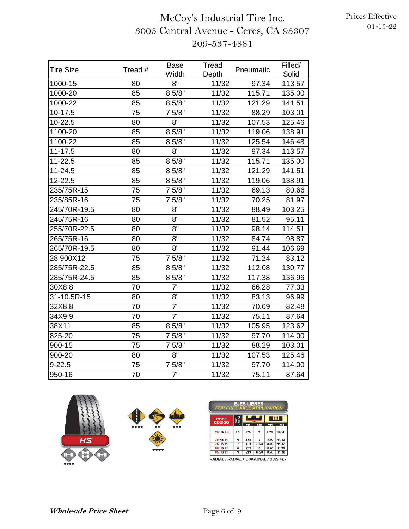# McCoy's Industrial Tire Inc. 3005 Central Avenue - Ceres, CA 95307 209-537-4881

| <b>Tire Size</b> | Tread # | <b>Base</b><br>Width | Tread<br>Depth | Pneumatic | Filled/<br>Solid |
|------------------|---------|----------------------|----------------|-----------|------------------|
| 1000-15          | 80      | 8"                   | 11/32          | 97.34     | 113.57           |
| 1000-20          | 85      | 8 5/8"               | 11/32          | 115.71    | 135.00           |
| 1000-22          | 85      | 8 5/8"               | 11/32          | 121.29    | 141.51           |
| $10-17.5$        | 75      | 7 5/8"               | 11/32          | 88.29     | 103.01           |
| 10-22.5          | 80      | 8"                   | 11/32          | 107.53    | 125.46           |
| 1100-20          | 85      | 8 5/8"               | 11/32          | 119.06    | 138.91           |
| 1100-22          | 85      | 8 5/8"               | 11/32          | 125.54    | 146.48           |
| $11 - 17.5$      | 80      | 8"                   | 11/32          | 97.34     | 113.57           |
| 11-22.5          | 85      | 8 5/8"               | 11/32          | 115.71    | 135.00           |
| $11 - 24.5$      | 85      | 8 5/8"               | 11/32          | 121.29    | 141.51           |
| 12-22.5          | 85      | 8 5/8"               | 11/32          | 119.06    | 138.91           |
| 235/75R-15       | 75      | 7 5/8"               | 11/32          | 69.13     | 80.66            |
| 235/85R-16       | 75      | 7 5/8"               | 11/32          | 70.25     | 81.97            |
| 245/70R-19.5     | 80      | 8"                   | 11/32          | 88.49     | 103.25           |
| 245/75R-16       | 80      | 8"                   | 11/32          | 81.52     | 95.11            |
| 255/70R-22.5     | 80      | 8"                   | 11/32          | 98.14     | 114.51           |
| 265/75R-16       | 80      | 8"                   | 11/32          | 84.74     | 98.87            |
| 265/70R-19.5     | 80      | $8^{\circ}$          | 11/32          | 91.44     | 106.69           |
| 28 900X12        | 75      | 7 5/8"               | 11/32          | 71.24     | 83.12            |
| 285/75R-22.5     | 85      | 8 5/8"               | 11/32          | 112.08    | 130.77           |
| 285/75R-24.5     | 85      | 8 5/8"               | 11/32          | 117.38    | 136.96           |
| 30X8.8           | 70      | 7"                   | 11/32          | 66.28     | 77.33            |
| 31-10.5R-15      | 80      | $8^{\circ}$          | 11/32          | 83.13     | 96.99            |
| 32X8.8           | 70      | 7"                   | 11/32          | 70.69     | 82.48            |
| 34X9.9           | 70      | $\overline{7}$ "     | 11/32          | 75.11     | 87.64            |
| 38X11            | 85      | 8 5/8"               | 11/32          | 105.95    | 123.62           |
| 825-20           | 75      | 7 5/8"               | 11/32          | 97.70     | 114.00           |
| 900-15           | 75      | 7 5/8"               | 11/32          | 88.29     | 103.01           |
| 900-20           | 80      | $8^{\circ}$          | 11/32          | 107.53    | 125.46           |
| $9 - 22.5$       | 75      | 7 5/8"               | 11/32          | 97.70     | 114.00           |
| 950-16           | 70      | $\overline{7}$ "     | 11/32          | 75.11     | 87.64            |



| <b>EJES LIBRES</b><br><b>FOR FREE AXLE APPLICATION</b>     |    |     |                |      |       |  |  |  |  |
|------------------------------------------------------------|----|-----|----------------|------|-------|--|--|--|--|
| Ιŧ<br>SIZE<br>IEDIDJ<br><b>CODE</b><br>mm<br><b>CODIGO</b> |    |     |                |      |       |  |  |  |  |
|                                                            |    | mm  | inch           | mm   | inch  |  |  |  |  |
| 70 HS 11L                                                  | 6A | 178 | $\overline{ }$ | 8.70 | 11/32 |  |  |  |  |
| 70 HS 11                                                   | 6  | 178 | $\overline{7}$ | 8.70 | 11/32 |  |  |  |  |
| <b>75 HS 11</b>                                            | 7  | 194 | 7.5/8          | 8.70 | 11/32 |  |  |  |  |
| 80 HS 11                                                   | 8  | 203 | 8              | 8.70 | 11/32 |  |  |  |  |
| 85 HS 11                                                   | 9  | 219 | 8 5/8          | 8.70 | 11/32 |  |  |  |  |

<mark>AL</mark> / *RADIAL* • DIAGONAL / *BIAS PL*Y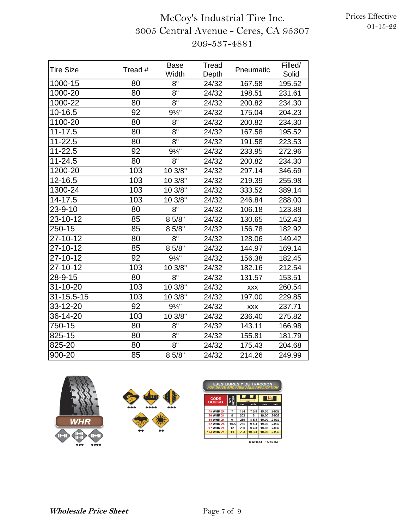| <b>Tire Size</b> | Tread #         | <b>Base</b><br>Width | Tread<br>Depth | Pneumatic  | Filled/<br>Solid |
|------------------|-----------------|----------------------|----------------|------------|------------------|
| 1000-15          | 80              | 8"                   | 24/32          | 167.58     | 195.52           |
| 1000-20          | 80              | 8"                   | 24/32          | 198.51     | 231.61           |
| 1000-22          | 80              | 8"                   | 24/32          | 200.82     | 234.30           |
| 10-16.5          | 92              | $9\frac{1}{4}$ "     | 24/32          | 175.04     | 204.23           |
| 1100-20          | 80              | 8"                   | 24/32          | 200.82     | 234.30           |
| $11 - 17.5$      | 80              | 8"                   | 24/32          | 167.58     | 195.52           |
| $11 - 22.5$      | 80              | $8^{\circ}$          | 24/32          | 191.58     | 223.53           |
| $11 - 22.5$      | 92              | $9\frac{1}{4}$ "     | 24/32          | 233.95     | 272.96           |
| $11 - 24.5$      | 80              | 8"                   | 24/32          | 200.82     | 234.30           |
| 1200-20          | 103             | 10 3/8"              | 24/32          | 297.14     | 346.69           |
| 12-16.5          | 103             | 10 3/8"              | 24/32          | 219.39     | 255.98           |
| 1300-24          | 103             | 10 3/8"              | 24/32          | 333.52     | 389.14           |
| 14-17.5          | 103             | 10 3/8"              | 24/32          | 246.84     | 288.00           |
| $23 - 9 - 10$    | 80              | 8"                   | 24/32          | 106.18     | 123.88           |
| $23 - 10 - 12$   | 85              | 8 5/8"               | 24/32          | 130.65     | 152.43           |
| 250-15           | 85              | 8 5/8"               | 24/32          | 156.78     | 182.92           |
| 27-10-12         | 80              | $8^{\circ}$          | 24/32          | 128.06     | 149.42           |
| 27-10-12         | 85              | 8 5/8"               | 24/32          | 144.97     | 169.14           |
| $27 - 10 - 12$   | 92              | $9\frac{1}{4}$ "     | 24/32          | 156.38     | 182.45           |
| 27-10-12         | 103             | 10 3/8"              | 24/32          | 182.16     | 212.54           |
| $28 - 9 - 15$    | 80              | 8"                   | 24/32          | 131.57     | 153.51           |
| $31 - 10 - 20$   | 103             | 10 3/8"              | 24/32          | <b>XXX</b> | 260.54           |
| 31-15.5-15       | 103             | 10 3/8"              | 24/32          | 197.00     | 229.85           |
| 33-12-20         | 92              | $9\frac{1}{4}$ "     | 24/32          | <b>XXX</b> | 237.71           |
| 36-14-20         | 103             | 103/8                | 24/32          | 236.40     | 275.82           |
| 750-15           | 80              | 8"                   | 24/32          | 143.11     | 166.98           |
| 825-15           | 80              | 8"                   | 24/32          | 155.81     | 181.79           |
| 825-20           | 80              | 8"                   | 24/32          | 175.43     | 204.68           |
| 900-20           | $\overline{85}$ | 8 5/8"               | 24/32          | 214.26     | 249.99           |





| <b>EJES LIBRES Y DE TRACCION</b><br><b>FOR DRIVE AND FREE AXLE APPLICATION</b> |                        |     |       |                 |            |  |  |  |  |
|--------------------------------------------------------------------------------|------------------------|-----|-------|-----------------|------------|--|--|--|--|
| <b>CODE</b>                                                                    | SIZE<br>IEDID <i>I</i> |     | mm    |                 | <b>IIE</b> |  |  |  |  |
| <b>CODIGO</b>                                                                  |                        | mm  | inch  | mm              | inch       |  |  |  |  |
|                                                                                |                        |     |       |                 |            |  |  |  |  |
| <b>75 WHR 24</b>                                                               | $\overline{7}$         | 194 | 7 5/8 | 19.00           | 24/32      |  |  |  |  |
| 80 WHR 24                                                                      | 8                      | 203 | 8     | 19.00           | 24/32      |  |  |  |  |
| 85 WHR 24                                                                      | 9                      | 219 | 8.5/8 | 19.00           | 24/32      |  |  |  |  |
| <b>92 WHR 24</b>                                                               | 10.5                   | 235 | 91/4  | 19.00           | 24/32      |  |  |  |  |
| 97 WHR 24                                                                      | 12                     | 250 | 9 7/8 | 19.00           | 24/32      |  |  |  |  |
| 103 WHR 24                                                                     | 14                     | 263 | 103/8 | 19.00           | 24/32      |  |  |  |  |
|                                                                                |                        |     |       |                 |            |  |  |  |  |
|                                                                                |                        |     |       | RADIAL / RADIAI |            |  |  |  |  |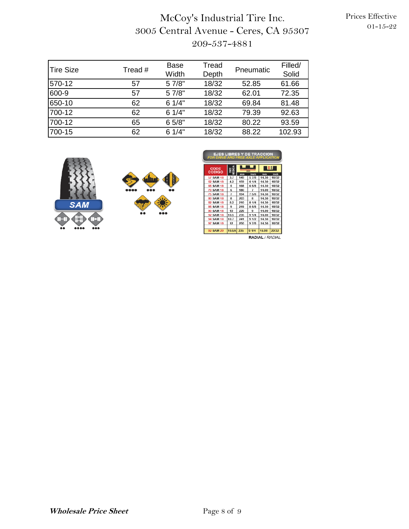## McCoy's Industrial Tire Inc. 3005 Central Avenue - Ceres, CA 95307 209-537-4881

| <b>Tire Size</b> | Tread # | <b>Base</b><br>Width | Tread<br>Depth | Pneumatic | Filled/<br>Solid |
|------------------|---------|----------------------|----------------|-----------|------------------|
| 570-12           | 57      | 5 7/8"               | 18/32          | 52.85     | 61.66            |
| 600-9            | 57      | 5 7/8"               | 18/32          | 62.01     | 72.35            |
| 650-10           | 62      | 61/4"                | 18/32          | 69.84     | 81.48            |
| 700-12           | 62      | 61/4"                | 18/32          | 79.39     | 92.63            |
| 700-12           | 65      | 6 5/8"               | 18/32          | 80.22     | 93.59            |
| 700-15           | 62      | 61/4"                | 18/32          | 88.22     | 102.93           |





| <b>EJES LIBRES Y DE TRACCION</b><br><b>FOR DRIVE AND FREE AXLE APPLICATION</b> |                |           |                |             |               |  |  |
|--------------------------------------------------------------------------------|----------------|-----------|----------------|-------------|---------------|--|--|
| CODE<br><b>CODIGO</b>                                                          | SIZE<br>NEDIDA |           | mm             | ч           |               |  |  |
| 57 SAM 18                                                                      | 3.7            | mm<br>149 | inch<br>5 7/8  | mm<br>14.30 | inch<br>18/32 |  |  |
|                                                                                |                |           |                |             |               |  |  |
| 62 SAM 18                                                                      | 4.2            | 159       | 6 1/4          | 14.30       | 18/32         |  |  |
| 65 SAM 18                                                                      | 5              | 168       | 6.5/8          | 14.30       | 18/32         |  |  |
| <b>70 SAM 18</b>                                                               | 6              | 180       | $\overline{ }$ | 14.00       | 18/32         |  |  |
| <b>75 SAM 18</b>                                                               | 7              | 194       | 7.5/8          | 14.30       | 18/32         |  |  |
| 80 SAM 18                                                                      | 8              | 203       | я              | 14.30       | 18/32         |  |  |
| 82 SAM 18                                                                      | 8.2            | 210       | 81/4           | 14.30       | 18/32         |  |  |
| <b>85 SAM 18</b>                                                               | q              | 219       | 8.5/8          | 14.30       | 18/32         |  |  |
| <b>90 SAM 18</b>                                                               | 10             | 229       | 9              | 14.00       | 18/32         |  |  |
| <b>92 SAM 18</b>                                                               | 10.5           | 235       | 91/4           | 14.00       | 18/32         |  |  |
| <b>94 SAM 18</b>                                                               | 10.7           | 241       | 9 1/2          | 14.30       | 18/32         |  |  |
| <b>97 SAM 18</b>                                                               | 12             | 250       | 9 7/8          | 14.30       | 18/32         |  |  |
|                                                                                |                |           |                |             |               |  |  |
| <b>92 SAM 20</b>                                                               | 10.5A          | 235       | 91/4           | 15.90       | 20/32         |  |  |

RADIAL / RADIAL